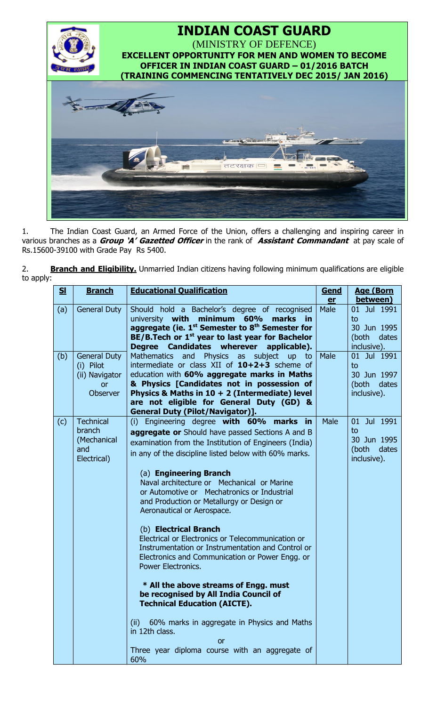

1. The Indian Coast Guard, an Armed Force of the Union, offers a challenging and inspiring career in various branches as a **Group 'A' Gazetted Officer** in the rank of **Assistant Commandant** at pay scale of Rs.15600-39100 with Grade Pay Rs 5400.

2. **Branch and Eligibility.** Unmarried Indian citizens having following minimum qualifications are eligible to apply:

| S <sub>1</sub> | <b>Branch</b>                                                                      | <b>Educational Qualification</b>                                                                                                                                                                                                                                                                                                                                                                                                                                                                                                                                                                                                                                                                                                                                                                                                                                                                           | Gend        | <b>Age (Born</b>                                                     |
|----------------|------------------------------------------------------------------------------------|------------------------------------------------------------------------------------------------------------------------------------------------------------------------------------------------------------------------------------------------------------------------------------------------------------------------------------------------------------------------------------------------------------------------------------------------------------------------------------------------------------------------------------------------------------------------------------------------------------------------------------------------------------------------------------------------------------------------------------------------------------------------------------------------------------------------------------------------------------------------------------------------------------|-------------|----------------------------------------------------------------------|
|                |                                                                                    |                                                                                                                                                                                                                                                                                                                                                                                                                                                                                                                                                                                                                                                                                                                                                                                                                                                                                                            | er          | between)                                                             |
| (a)            | <b>General Duty</b>                                                                | Should hold a Bachelor's degree of recognised<br>minimum<br>university <b>with</b><br>60%<br>marks in<br>aggregate (ie. $1^{st}$ Semester to $8^{th}$ Semester for<br>$BE/B$ . Tech or $1st$ year to last year for Bachelor<br>Degree Candidates wherever<br>applicable).                                                                                                                                                                                                                                                                                                                                                                                                                                                                                                                                                                                                                                  | Male        | 01 Jul 1991<br>to<br>30 Jun 1995<br>(both<br>dates<br>inclusive).    |
| (b)            | <b>General Duty</b><br>(i) Pilot<br>(ii) Navigator<br><b>or</b><br><b>Observer</b> | Mathematics and Physics as subject<br>up to<br>intermediate or class XII of 10+2+3 scheme of<br>education with 60% aggregate marks in Maths<br>& Physics [Candidates not in possession of<br>Physics & Maths in $10 + 2$ (Intermediate) level<br>are not eligible for General Duty (GD) &<br><b>General Duty (Pilot/Navigator)].</b>                                                                                                                                                                                                                                                                                                                                                                                                                                                                                                                                                                       | <b>Male</b> | 01 Jul 1991<br>to<br>30 Jun 1997<br>(both dates<br>inclusive).       |
| (c)            | <b>Technical</b><br>branch<br>(Mechanical<br>and<br>Electrical)                    | (i) Engineering degree with 60% marks<br>in in<br><b>aggregate or</b> Should have passed Sections A and B<br>examination from the Institution of Engineers (India)<br>in any of the discipline listed below with 60% marks.<br>(a) Engineering Branch<br>Naval architecture or Mechanical or Marine<br>or Automotive or Mechatronics or Industrial<br>and Production or Metallurgy or Design or<br>Aeronautical or Aerospace.<br>(b) Electrical Branch<br>Electrical or Electronics or Telecommunication or<br>Instrumentation or Instrumentation and Control or<br>Electronics and Communication or Power Engg. or<br>Power Electronics.<br>* All the above streams of Engg. must<br>be recognised by All India Council of<br><b>Technical Education (AICTE).</b><br>60% marks in aggregate in Physics and Maths<br>(ii)<br>in 12th class.<br>or<br>Three year diploma course with an aggregate of<br>60% | Male        | Jul 1991<br>01<br>to<br>30 Jun 1995<br>dates<br>(both<br>inclusive). |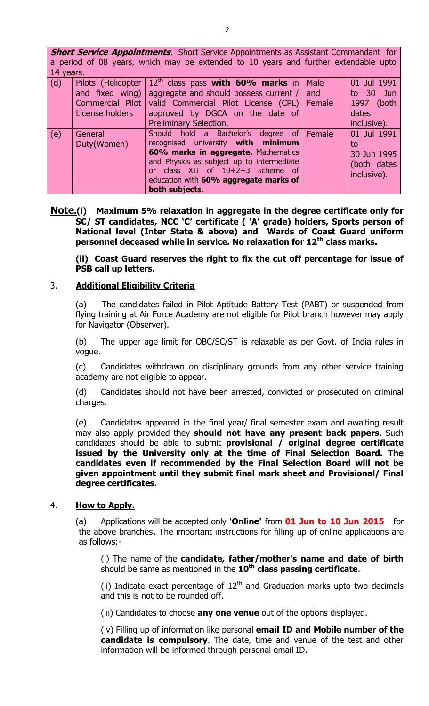| <b>Short Service Appointments</b> . Short Service Appointments as Assistant Commandant for<br>a period of 08 years, which may be extended to 10 years and further extendable upto |                    |                                               |        |             |  |  |  |
|-----------------------------------------------------------------------------------------------------------------------------------------------------------------------------------|--------------------|-----------------------------------------------|--------|-------------|--|--|--|
| 14 years.                                                                                                                                                                         |                    |                                               |        |             |  |  |  |
| (d)                                                                                                                                                                               | Pilots (Helicopter | $12th$ class pass with 60% marks in           | Male   | 01 Jul 1991 |  |  |  |
|                                                                                                                                                                                   | and fixed wing)    | aggregate and should possess current $/$      | and    | to 30 Jun   |  |  |  |
|                                                                                                                                                                                   | Commercial Pilot   | valid Commercial Pilot License (CPL)   Female |        | 1997 (both  |  |  |  |
|                                                                                                                                                                                   | License holders    | approved by DGCA on the date of               |        | dates       |  |  |  |
|                                                                                                                                                                                   |                    | <b>Preliminary Selection.</b>                 |        | inclusive). |  |  |  |
| (e)                                                                                                                                                                               | General            | Should hold a Bachelor's degree of            | Female | 01 Jul 1991 |  |  |  |
|                                                                                                                                                                                   | Duty(Women)        | recognised university with minimum            |        | to          |  |  |  |
|                                                                                                                                                                                   |                    | 60% marks in aggregate. Mathematics           |        | 30 Jun 1995 |  |  |  |
|                                                                                                                                                                                   |                    | and Physics as subject up to intermediate     |        | (both dates |  |  |  |
|                                                                                                                                                                                   |                    | class $XII$ of $10+2+3$ scheme of<br>or       |        |             |  |  |  |
|                                                                                                                                                                                   |                    | education with 60% aggregate marks of         |        | inclusive). |  |  |  |
|                                                                                                                                                                                   |                    | both subjects.                                |        |             |  |  |  |

**Note.(i) Maximum 5% relaxation in aggregate in the degree certificate only for SC/ ST candidates, NCC 'C' certificate ( 'A' grade) holders, Sports person of National level (Inter State & above) and Wards of Coast Guard uniform personnel deceased while in service. No relaxation for 12th class marks.**

**(ii) Coast Guard reserves the right to fix the cut off percentage for issue of PSB call up letters.**

### 3. **Additional Eligibility Criteria**

(a) The candidates failed in Pilot Aptitude Battery Test (PABT) or suspended from flying training at Air Force Academy are not eligible for Pilot branch however may apply for Navigator (Observer).

(b) The upper age limit for OBC/SC/ST is relaxable as per Govt. of India rules in vogue.

(c) Candidates withdrawn on disciplinary grounds from any other service training academy are not eligible to appear.

(d) Candidates should not have been arrested, convicted or prosecuted on criminal charges.

(e) Candidates appeared in the final year/ final semester exam and awaiting result may also apply provided they **should not have any present back papers**. Such candidates should be able to submit **provisional / original degree certificate issued by the University only at the time of Final Selection Board. The candidates even if recommended by the Final Selection Board will not be given appointment until they submit final mark sheet and Provisional/ Final degree certificates.**

### 4. **How to Apply.**

(a) Applications will be accepted only **'Online'** from **01 Jun to 10 Jun 2015** for the above branches**.** The important instructions for filling up of online applications are as follows:-

(i) The name of the **candidate, father/mother's name and date of birth** should be same as mentioned in the **10th class passing certificate**.

(ii) Indicate exact percentage of  $12<sup>th</sup>$  and Graduation marks upto two decimals and this is not to be rounded off.

(iii) Candidates to choose **any one venue** out of the options displayed.

(iv) Filling up of information like personal **email ID and Mobile number of the candidate is compulsory**. The date, time and venue of the test and other information will be informed through personal email ID.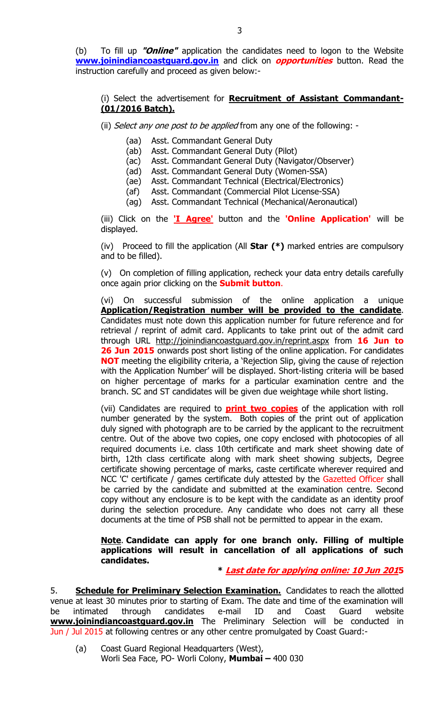(b) To fill up **"Online"** application the candidates need to logon to the Website **[www.joinindiancoastguard.gov.in](http://www.joinindiancoastguard.gov.in/)** and click on **opportunities** button. Read the instruction carefully and proceed as given below:-

# (i) Select the advertisement for **Recruitment of Assistant Commandant- (01/2016 Batch).**

- (ii) Select any one post to be applied from any one of the following: -
	- (aa) Asst. Commandant General Duty
	- (ab) Asst. Commandant General Duty (Pilot)
	- (ac) Asst. Commandant General Duty (Navigator/Observer)
	- (ad) Asst. Commandant General Duty (Women-SSA)
	- (ae) Asst. Commandant Technical (Electrical/Electronics)
	- (af) Asst. Commandant (Commercial Pilot License-SSA)
	- (ag) Asst. Commandant Technical (Mechanical/Aeronautical)

(iii) Click on the **'I Agree'** button and the **'Online Application'** will be displayed.

(iv) Proceed to fill the application (All **Star (\*)** marked entries are compulsory and to be filled).

(v) On completion of filling application, recheck your data entry details carefully once again prior clicking on the **Submit button**.

(vi) On successful submission of the online application a unique **Application/Registration number will be provided to the candidate**. Candidates must note down this application number for future reference and for retrieval / reprint of admit card. Applicants to take print out of the admit card through URL <http://joinindiancoastguard.gov.in/reprint.aspx> from **16 Jun to 26 Jun 2015** onwards post short listing of the online application. For candidates **NOT** meeting the eligibility criteria, a 'Rejection Slip, giving the cause of rejection with the Application Number' will be displayed. Short-listing criteria will be based on higher percentage of marks for a particular examination centre and the branch. SC and ST candidates will be given due weightage while short listing.

(vii) Candidates are required to **print two copies** of the application with roll number generated by the system. Both copies of the print out of application duly signed with photograph are to be carried by the applicant to the recruitment centre. Out of the above two copies, one copy enclosed with photocopies of all required documents i.e. class 10th certificate and mark sheet showing date of birth, 12th class certificate along with mark sheet showing subjects, Degree certificate showing percentage of marks, caste certificate wherever required and NCC 'C' certificate / games certificate duly attested by the Gazetted Officer shall be carried by the candidate and submitted at the examination centre. Second copy without any enclosure is to be kept with the candidate as an identity proof during the selection procedure. Any candidate who does not carry all these documents at the time of PSB shall not be permitted to appear in the exam.

### **Note**. **Candidate can apply for one branch only. Filling of multiple applications will result in cancellation of all applications of such candidates.**

**\* Last date for applying online: 10 Jun 2015**

5. **Schedule for Preliminary Selection Examination.** Candidates to reach the allotted venue at least 30 minutes prior to starting of Exam. The date and time of the examination will be intimated through candidates e-mail ID and Coast Guard website **[www.joinindiancoastguard.gov.in](http://www.joinindiancoastguard.gov.in/)** The Preliminary Selection will be conducted in Jun / Jul 2015 at following centres or any other centre promulgated by Coast Guard:-

(a) Coast Guard Regional Headquarters (West), Worli Sea Face, PO- Worli Colony, **Mumbai –** 400 030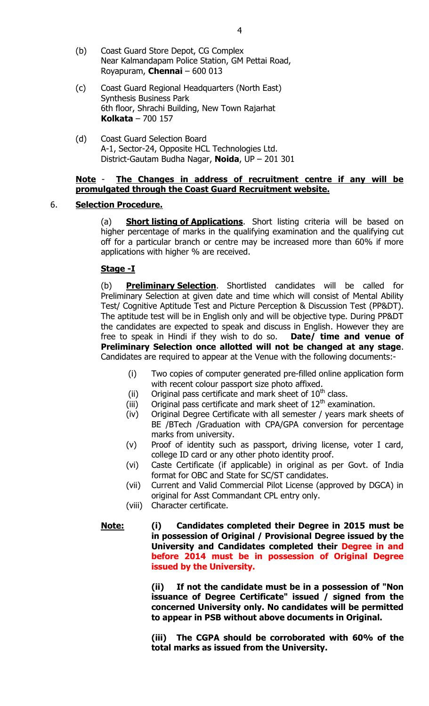- (b) Coast Guard Store Depot, CG Complex Near Kalmandapam Police Station, GM Pettai Road, Royapuram, **Chennai** – 600 013
- (c) Coast Guard Regional Headquarters (North East) Synthesis Business Park 6th floor, Shrachi Building, New Town Rajarhat **Kolkata** – 700 157
- (d) Coast Guard Selection Board A-1, Sector-24, Opposite HCL Technologies Ltd. District-Gautam Budha Nagar, **Noida**, UP – 201 301

### **Note** - **The Changes in address of recruitment centre if any will be promulgated through the Coast Guard Recruitment website.**

## 6. **Selection Procedure.**

(a) **Short listing of Applications**. Short listing criteria will be based on higher percentage of marks in the qualifying examination and the qualifying cut off for a particular branch or centre may be increased more than 60% if more applications with higher % are received.

## **Stage -I**

(b) **Preliminary Selection**. Shortlisted candidates will be called for Preliminary Selection at given date and time which will consist of Mental Ability Test/ Cognitive Aptitude Test and Picture Perception & Discussion Test (PP&DT). The aptitude test will be in English only and will be objective type. During PP&DT the candidates are expected to speak and discuss in English. However they are free to speak in Hindi if they wish to do so. **Date/ time and venue of Preliminary Selection once allotted will not be changed at any stage**. Candidates are required to appear at the Venue with the following documents:-

- (i) Two copies of computer generated pre-filled online application form with recent colour passport size photo affixed.
- (ii) Original pass certificate and mark sheet of  $10^{th}$  class.
- (iii) Original pass certificate and mark sheet of  $12<sup>th</sup>$  examination.
- (iv) Original Degree Certificate with all semester / years mark sheets of BE /BTech /Graduation with CPA/GPA conversion for percentage marks from university.
- (v) Proof of identity such as passport, driving license, voter I card, college ID card or any other photo identity proof.
- (vi) Caste Certificate (if applicable) in original as per Govt. of India format for OBC and State for SC/ST candidates.
- (vii) Current and Valid Commercial Pilot License (approved by DGCA) in original for Asst Commandant CPL entry only.
- (viii) Character certificate.

## **Note: (i) Candidates completed their Degree in 2015 must be in possession of Original / Provisional Degree issued by the University and Candidates completed their Degree in and before 2014 must be in possession of Original Degree issued by the University.**

**(ii) If not the candidate must be in a possession of "Non issuance of Degree Certificate" issued / signed from the concerned University only. No candidates will be permitted to appear in PSB without above documents in Original.**

**(iii) The CGPA should be corroborated with 60% of the total marks as issued from the University.**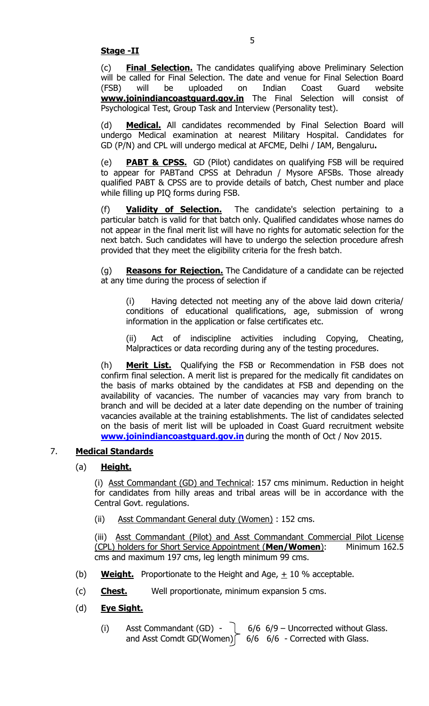(c) **Final Selection.** The candidates qualifying above Preliminary Selection will be called for Final Selection. The date and venue for Final Selection Board (FSB) will be uploaded on Indian Coast Guard website **[www.joinindiancoastguard.gov.in](http://www.joinindiancoastguard.gov.in/)** The Final Selection will consist of Psychological Test, Group Task and Interview (Personality test).

(d) **Medical.** All candidates recommended by Final Selection Board will undergo Medical examination at nearest Military Hospital. Candidates for GD (P/N) and CPL will undergo medical at AFCME, Delhi / IAM, Bengaluru**.**

(e) **PABT & CPSS.** GD (Pilot) candidates on qualifying FSB will be required to appear for PABTand CPSS at Dehradun / Mysore AFSBs. Those already qualified PABT & CPSS are to provide details of batch, Chest number and place while filling up PIQ forms during FSB.

(f) **Validity of Selection.** The candidate's selection pertaining to a particular batch is valid for that batch only. Qualified candidates whose names do not appear in the final merit list will have no rights for automatic selection for the next batch. Such candidates will have to undergo the selection procedure afresh provided that they meet the eligibility criteria for the fresh batch.

(g) **Reasons for Rejection.** The Candidature of a candidate can be rejected at any time during the process of selection if

(i) Having detected not meeting any of the above laid down criteria/ conditions of educational qualifications, age, submission of wrong information in the application or false certificates etc.

(ii) Act of indiscipline activities including Copying, Cheating, Malpractices or data recording during any of the testing procedures.

(h) **Merit List.** Qualifying the FSB or Recommendation in FSB does not confirm final selection. A merit list is prepared for the medically fit candidates on the basis of marks obtained by the candidates at FSB and depending on the availability of vacancies. The number of vacancies may vary from branch to branch and will be decided at a later date depending on the number of training vacancies available at the training establishments. The list of candidates selected on the basis of merit list will be uploaded in Coast Guard recruitment website **[www.joinindiancoastguard.gov.in](http://www.joinindiancoastguard.gov.in/)** during the month of Oct / Nov 2015.

# 7. **Medical Standards**

# (a) **Height.**

(i) Asst Commandant (GD) and Technical: 157 cms minimum. Reduction in height for candidates from hilly areas and tribal areas will be in accordance with the Central Govt. regulations.

(ii) Asst Commandant General duty (Women) : 152 cms.

(iii) Asst Commandant (Pilot) and Asst Commandant Commercial Pilot License (CPL) holders for Short Service Appointment (**Men/Women**): Minimum 162.5 cms and maximum 197 cms, leg length minimum 99 cms.

- (b) **Weight.** Proportionate to the Height and Age,  $\pm$  10 % acceptable.
- (c) **Chest.** Well proportionate, minimum expansion 5 cms.
- (d) **Eye Sight.** 
	- (i) Asst Commandant (GD)  $\bigcirc$  6/6 6/9 Uncorrected without Glass. and Asst Comdt GD(Women)  $\begin{bmatrix} 6/6 & 6/6 & - \end{bmatrix}$  Corrected with Glass.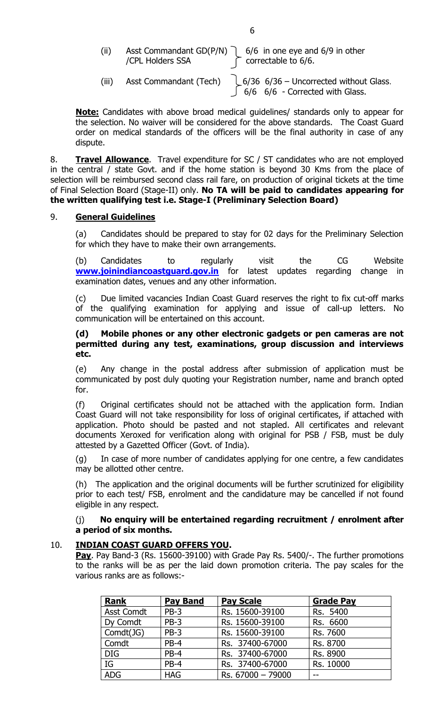| (iii) |                  | Asst Commandant GD(P/N) $\bigcap$ 6/6 in one eye and 6/9 in other |
|-------|------------------|-------------------------------------------------------------------|
|       | /CPL Holders SSA | $\int$ correctable to 6/6.                                        |

(iii) Asst Commandant (Tech)  $\bigcup$  6/36 6/36 – Uncorrected without Glass.  $6/6$  6/6 - Corrected with Glass.

**Note:** Candidates with above broad medical guidelines/ standards only to appear for the selection. No waiver will be considered for the above standards.The Coast Guard order on medical standards of the officers will be the final authority in case of any dispute.

8. **Travel Allowance**. Travel expenditure for SC / ST candidates who are not employed in the central / state Govt. and if the home station is beyond 30 Kms from the place of selection will be reimbursed second class rail fare, on production of original tickets at the time of Final Selection Board (Stage-II) only. **No TA will be paid to candidates appearing for the written qualifying test i.e. Stage-I (Preliminary Selection Board)** 

## 9. **General Guidelines**

(a) Candidates should be prepared to stay for 02 days for the Preliminary Selection for which they have to make their own arrangements.

(b) Candidates to regularly visit the CG Website **[www.joinindiancoastguard.gov.in](http://www.joinindiancoastguard.gov.in/)** for latest updates regarding change in examination dates, venues and any other information.

(c) Due limited vacancies Indian Coast Guard reserves the right to fix cut-off marks of the qualifying examination for applying and issue of call-up letters. No communication will be entertained on this account.

#### **(d) Mobile phones or any other electronic gadgets or pen cameras are not permitted during any test, examinations, group discussion and interviews etc.**

(e) Any change in the postal address after submission of application must be communicated by post duly quoting your Registration number, name and branch opted for.

(f) Original certificates should not be attached with the application form. Indian Coast Guard will not take responsibility for loss of original certificates, if attached with application. Photo should be pasted and not stapled. All certificates and relevant documents Xeroxed for verification along with original for PSB / FSB, must be duly attested by a Gazetted Officer (Govt. of India).

(g) In case of more number of candidates applying for one centre, a few candidates may be allotted other centre.

(h) The application and the original documents will be further scrutinized for eligibility prior to each test/ FSB, enrolment and the candidature may be cancelled if not found eligible in any respect.

## (j) **No enquiry will be entertained regarding recruitment / enrolment after a period of six months.**

# 10. **INDIAN COAST GUARD OFFERS YOU.**

 **Pay**. Pay Band-3 (Rs. 15600-39100) with Grade Pay Rs. 5400/-. The further promotions to the ranks will be as per the laid down promotion criteria. The pay scales for the various ranks are as follows:-

| <b>Rank</b>       | <b>Pay Band</b> | <b>Pay Scale</b>  | <b>Grade Pay</b> |
|-------------------|-----------------|-------------------|------------------|
| <b>Asst Comdt</b> | $PB-3$          | Rs. 15600-39100   | Rs. 5400         |
| Dy Comdt          | $PB-3$          | Rs. 15600-39100   | Rs. 6600         |
| Comdt(JG)         | $PB-3$          | Rs. 15600-39100   | Rs. 7600         |
| Comdt             | PB-4            | Rs. 37400-67000   | Rs. 8700         |
| <b>DIG</b>        | $PB-4$          | Rs. 37400-67000   | Rs. 8900         |
| IG                | PB-4            | Rs. 37400-67000   | Rs. 10000        |
| <b>ADG</b>        | <b>HAG</b>      | Rs. 67000 - 79000 |                  |